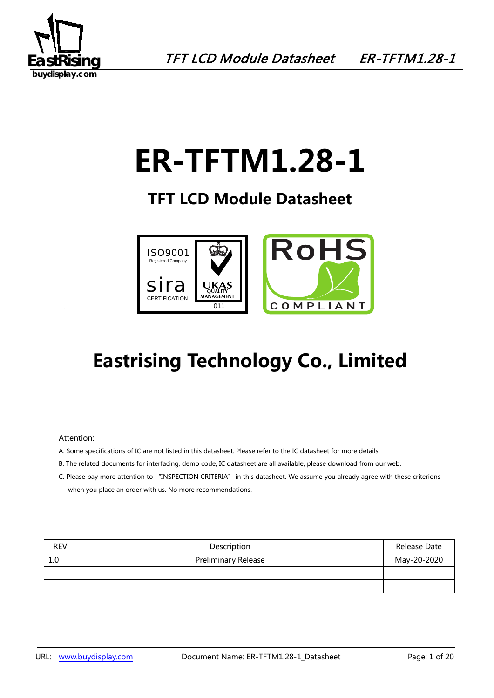

# **ER-TFTM1.28-1**

### **TFT LCD Module Datasheet**



# **Eastrising Technology Co., Limited**

#### Attention:

- A. Some specifications of IC are not listed in this datasheet. Please refer to the IC datasheet for more details.
- B. The related documents for interfacing, demo code, IC datasheet are all available, please download from our web.
- C. Please pay more attention to "INSPECTION CRITERIA" in this datasheet. We assume you already agree with these criterions when you place an order with us. No more recommendations.

| <b>REV</b> | Description                | Release Date |
|------------|----------------------------|--------------|
| 1.0        | <b>Preliminary Release</b> | May-20-2020  |
|            |                            |              |
|            |                            |              |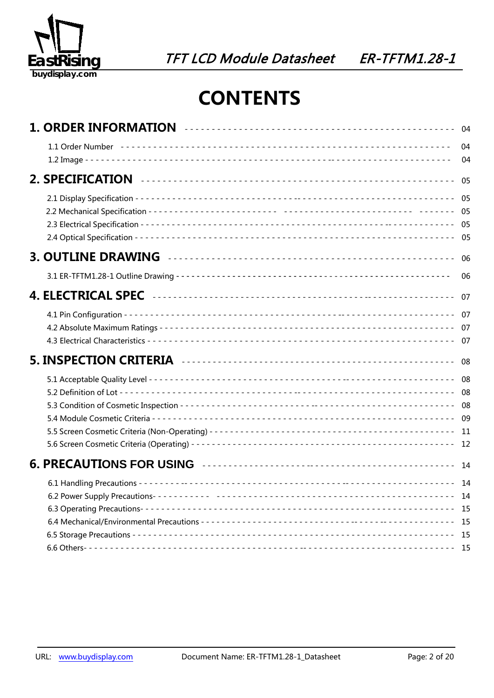

## **CONTENTS**

|  | 04<br>04 |
|--|----------|
|  |          |
|  |          |
|  |          |
|  | 06       |
|  |          |
|  |          |
|  |          |
|  |          |
|  |          |
|  |          |
|  |          |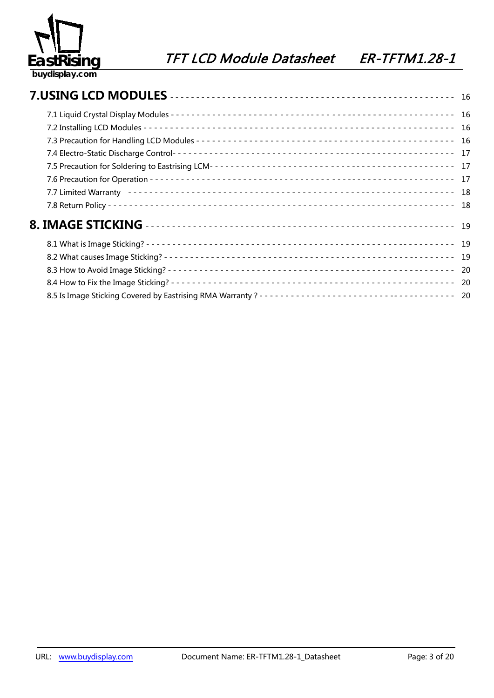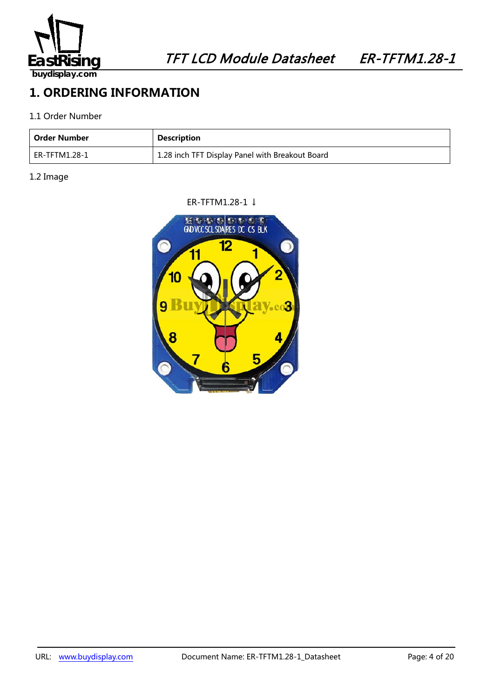

### **1. ORDERING INFORMATION**

### 1.1 Order Number

| Order Number  | <b>Description</b>                              |
|---------------|-------------------------------------------------|
| ER-TFTM1.28-1 | 1.28 inch TFT Display Panel with Breakout Board |

### 1.2 Image

### ER-TFTM1.28-1 ↓

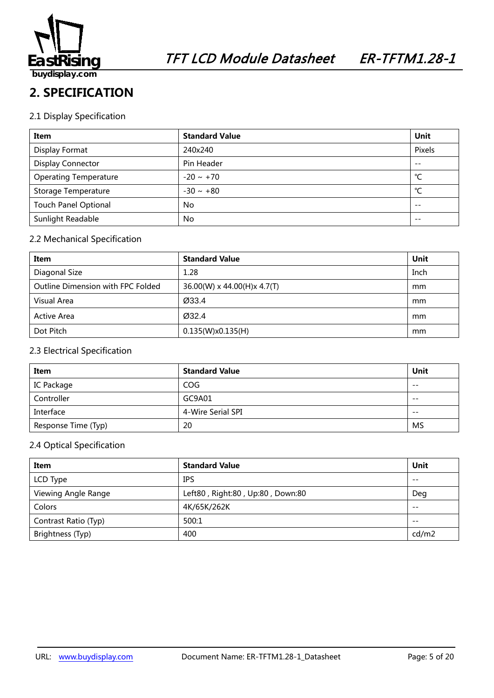

### **2. SPECIFICATION**

### 2.1 Display Specification

| Item                         | <b>Standard Value</b> | Unit   |
|------------------------------|-----------------------|--------|
| Display Format               | 240x240               | Pixels |
| <b>Display Connector</b>     | Pin Header            | $- -$  |
| <b>Operating Temperature</b> | $-20 \sim +70$        | °C     |
| Storage Temperature          | $-30 \sim +80$        | °C     |
| <b>Touch Panel Optional</b>  | <b>No</b>             | $ -$   |
| Sunlight Readable            | No.                   |        |

### 2.2 Mechanical Specification

| Item                              | <b>Standard Value</b>       | Unit |
|-----------------------------------|-----------------------------|------|
| Diagonal Size                     | 1.28                        | Inch |
| Outline Dimension with FPC Folded | 36.00(W) x 44.00(H)x 4.7(T) | mm   |
| Visual Area                       | Ø33.4                       | mm   |
| Active Area                       | Ø32.4                       | mm   |
| Dot Pitch                         | 0.135(W)x0.135(H)           | mm   |

### 2.3 Electrical Specification

| Item                | <b>Standard Value</b> | <b>Unit</b> |
|---------------------|-----------------------|-------------|
| IC Package          | COG                   | $- -$       |
| Controller          | GC9A01                | $- -$       |
| Interface           | 4-Wire Serial SPI     | $- -$       |
| Response Time (Typ) | 20                    | MS          |

### 2.4 Optical Specification

| Item                 | <b>Standard Value</b>            | Unit  |
|----------------------|----------------------------------|-------|
| LCD Type             | <b>IPS</b>                       | $- -$ |
| Viewing Angle Range  | Left80, Right:80, Up:80, Down:80 | Deg   |
| Colors               | 4K/65K/262K                      | $- -$ |
| Contrast Ratio (Typ) | 500:1                            | $- -$ |
| Brightness (Typ)     | 400                              | cd/m2 |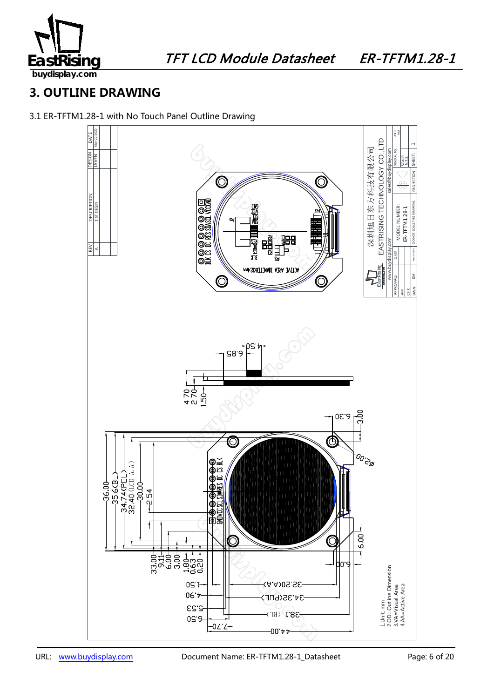

**buydisplay.com**

### **3. OUTLINE DRAWING**

3.1 ER-TFTM1.28-1 with No Touch Panel Outline Drawing

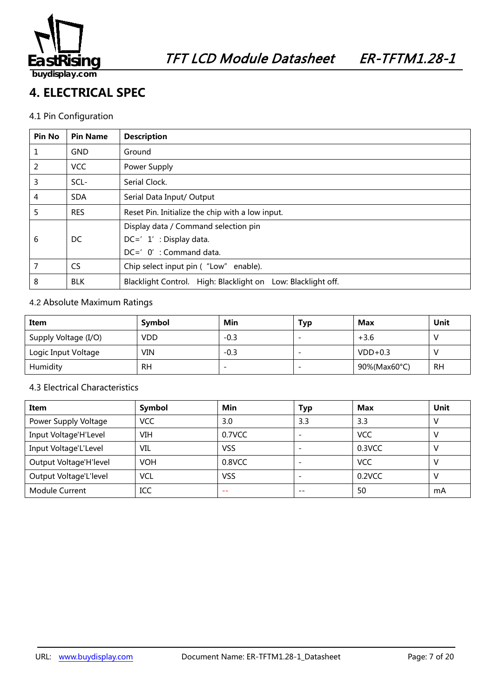

### **4. ELECTRICAL SPEC**

### 4.1 Pin Configuration

| <b>Pin No</b> | <b>Pin Name</b> | <b>Description</b>                                           |  |  |
|---------------|-----------------|--------------------------------------------------------------|--|--|
| 1             | <b>GND</b>      | Ground                                                       |  |  |
| 2             | <b>VCC</b>      | Power Supply                                                 |  |  |
| 3             | SCL-            | Serial Clock.                                                |  |  |
| 4             | <b>SDA</b>      | Serial Data Input/ Output                                    |  |  |
| 5             | <b>RES</b>      | Reset Pin. Initialize the chip with a low input.             |  |  |
|               |                 | Display data / Command selection pin                         |  |  |
| 6             | DC.             | $DC=' 1' : Display data.$                                    |  |  |
|               |                 | DC=' 0': Command data.                                       |  |  |
| 7             | <b>CS</b>       | Chip select input pin ("Low" enable).                        |  |  |
| 8             | <b>BLK</b>      | Blacklight Control. High: Blacklight on Low: Blacklight off. |  |  |

### 4.2 Absolute Maximum Ratings

| Item                 | Symbol    | Min    | Typ | Max          | Unit      |
|----------------------|-----------|--------|-----|--------------|-----------|
| Supply Voltage (I/O) | VDD       | $-0.3$ |     | $+3.6$       |           |
| Logic Input Voltage  | VIN       | $-0.3$ |     | $VDD+0.3$    |           |
| Humidity             | <b>RH</b> | -      |     | 90%(Max60°C) | <b>RH</b> |

### 4.3 Electrical Characteristics

| Item                   | Symbol     | Min        | <b>Typ</b>               | Max        | Unit |
|------------------------|------------|------------|--------------------------|------------|------|
| Power Supply Voltage   | <b>VCC</b> | 3.0        | 3.3                      | 3.3        |      |
| Input Voltage'H'Level  | VIH        | 0.7VCC     |                          | <b>VCC</b> |      |
| Input Voltage'L'Level  | VIL        | <b>VSS</b> |                          | 0.3VCC     |      |
| Output Voltage'H'level | <b>VOH</b> | 0.8VCC     | $\overline{\phantom{0}}$ | <b>VCC</b> |      |
| Output Voltage'L'level | VCL        | VSS        |                          | 0.2VCC     |      |
| <b>Module Current</b>  | ICC        | --         | $- -$                    | 50         | mA   |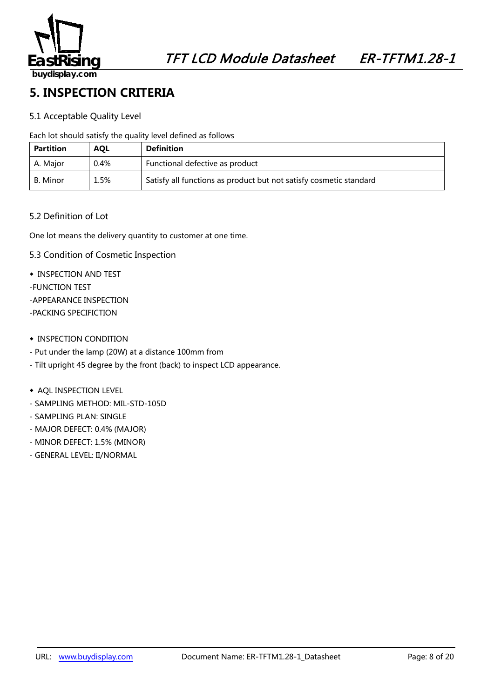

### **5. INSPECTION CRITERIA**

### 5.1 Acceptable Quality Level

Each lot should satisfy the quality level defined as follows

| <b>Partition</b> | <b>AOL</b> | <b>Definition</b>                                                  |
|------------------|------------|--------------------------------------------------------------------|
| A. Major         | 0.4%       | Functional defective as product                                    |
| B. Minor         | 1.5%       | Satisfy all functions as product but not satisfy cosmetic standard |

### 5.2 Definition of Lot

One lot means the delivery quantity to customer at one time.

- 5.3 Condition of Cosmetic Inspection
- ◆ INSPECTION AND TEST
- -FUNCTION TEST
- -APPEARANCE INSPECTION
- -PACKING SPECIFICTION
- ◆ INSPECTION CONDITION
- Put under the lamp (20W) at a distance 100mm from
- Tilt upright 45 degree by the front (back) to inspect LCD appearance.
- ◆ AQL INSPECTION LEVEL
- SAMPLING METHOD: MIL-STD-105D
- SAMPLING PLAN: SINGLE
- MAJOR DEFECT: 0.4% (MAJOR)
- MINOR DEFECT: 1.5% (MINOR)
- GENERAL LEVEL: II/NORMAL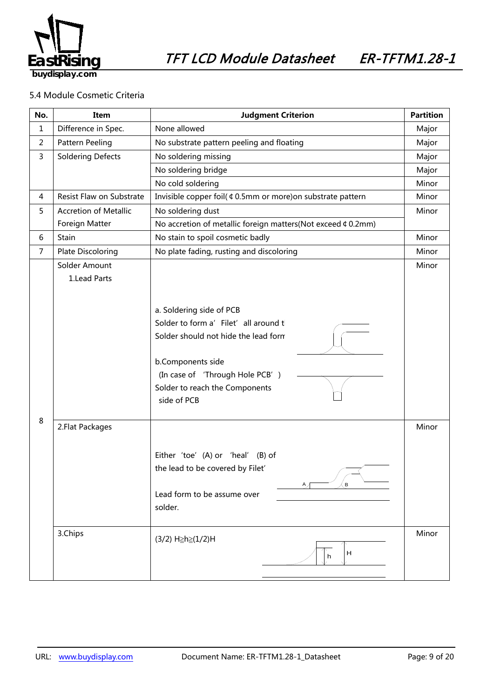

### 5.4 Module Cosmetic Criteria

| No.            | Item                           | <b>Judgment Criterion</b>                                                                                                                                                                                          |                |
|----------------|--------------------------------|--------------------------------------------------------------------------------------------------------------------------------------------------------------------------------------------------------------------|----------------|
| $\mathbf{1}$   | Difference in Spec.            | None allowed                                                                                                                                                                                                       | Major          |
| $\overline{2}$ | Pattern Peeling                | No substrate pattern peeling and floating                                                                                                                                                                          | Major          |
| 3              | <b>Soldering Defects</b>       | No soldering missing                                                                                                                                                                                               | Major          |
|                |                                | No soldering bridge                                                                                                                                                                                                | Major          |
|                |                                | No cold soldering                                                                                                                                                                                                  | Minor          |
| 4              | Resist Flaw on Substrate       | Invisible copper foil( ¢ 0.5mm or more) on substrate pattern                                                                                                                                                       | Minor          |
| 5              | <b>Accretion of Metallic</b>   | No soldering dust                                                                                                                                                                                                  | Minor          |
|                | Foreign Matter                 | No accretion of metallic foreign matters(Not exceed ¢ 0.2mm)                                                                                                                                                       |                |
| 6              | Stain                          | No stain to spoil cosmetic badly                                                                                                                                                                                   |                |
| $\overline{7}$ | <b>Plate Discoloring</b>       | No plate fading, rusting and discoloring                                                                                                                                                                           |                |
| 8              | Solder Amount<br>1. Lead Parts | a. Soldering side of PCB<br>Solder to form a' Filet' all around t<br>Solder should not hide the lead form<br>b.Components side<br>(In case of 'Through Hole PCB')<br>Solder to reach the Components<br>side of PCB | Minor          |
|                | 2. Flat Packages<br>3.Chips    | Either 'toe' (A) or 'heal' (B) of<br>the lead to be covered by Filet'<br>B<br>Lead form to be assume over<br>solder.<br>(3/2) H≥h≥(1/2)H<br>H<br>h                                                                 | Minor<br>Minor |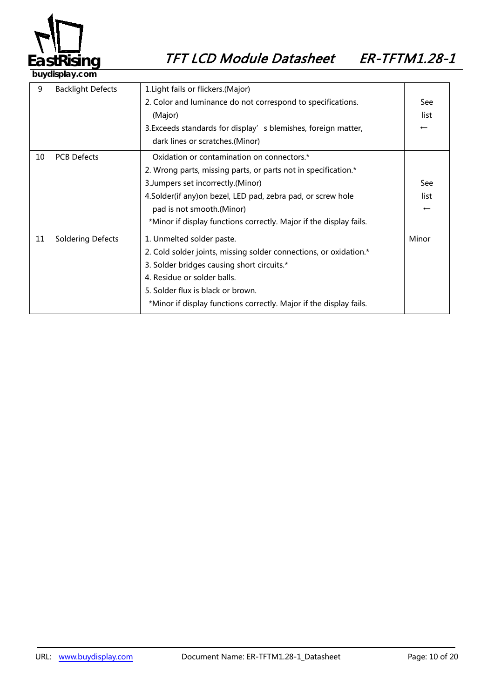

| 9  | <b>Backlight Defects</b>                                         | 1. Light fails or flickers. (Major)                                |                          |
|----|------------------------------------------------------------------|--------------------------------------------------------------------|--------------------------|
|    |                                                                  | 2. Color and luminance do not correspond to specifications.        | See                      |
|    |                                                                  | (Major)                                                            | list                     |
|    |                                                                  | 3. Exceeds standards for display's blemishes, foreign matter,      | $\overline{\phantom{0}}$ |
|    |                                                                  | dark lines or scratches.(Minor)                                    |                          |
| 10 | <b>PCB Defects</b><br>Oxidation or contamination on connectors.* |                                                                    |                          |
|    |                                                                  | 2. Wrong parts, missing parts, or parts not in specification.*     |                          |
|    |                                                                  | 3. Jumpers set incorrectly. (Minor)                                | See                      |
|    |                                                                  | 4.Solder(if any) on bezel, LED pad, zebra pad, or screw hole       | list                     |
|    |                                                                  | pad is not smooth.(Minor)                                          | $\overline{\phantom{m}}$ |
|    |                                                                  | *Minor if display functions correctly. Major if the display fails. |                          |
| 11 | <b>Soldering Defects</b>                                         | 1. Unmelted solder paste.                                          | Minor                    |
|    |                                                                  | 2. Cold solder joints, missing solder connections, or oxidation.*  |                          |
|    |                                                                  | 3. Solder bridges causing short circuits.*                         |                          |
|    |                                                                  | 4. Residue or solder balls.                                        |                          |
|    |                                                                  | 5. Solder flux is black or brown.                                  |                          |
|    |                                                                  | *Minor if display functions correctly. Major if the display fails. |                          |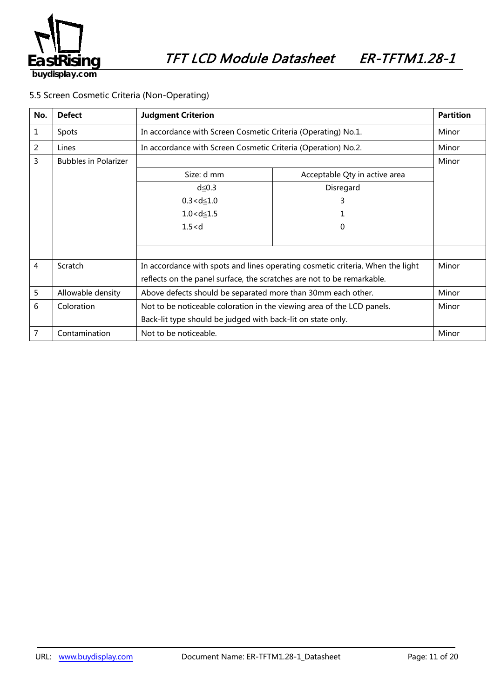

### 5.5 Screen Cosmetic Criteria (Non-Operating)

| No.            | <b>Defect</b>               | <b>Judgment Criterion</b>                                                      |                               | <b>Partition</b> |
|----------------|-----------------------------|--------------------------------------------------------------------------------|-------------------------------|------------------|
| 1              | Spots                       | In accordance with Screen Cosmetic Criteria (Operating) No.1.                  |                               | Minor            |
| $\overline{2}$ | Lines                       | In accordance with Screen Cosmetic Criteria (Operation) No.2.                  |                               | Minor            |
| 3              | <b>Bubbles in Polarizer</b> |                                                                                | Minor                         |                  |
|                |                             | Size: d mm                                                                     | Acceptable Qty in active area |                  |
|                |                             | $d \leq 0.3$                                                                   | Disregard                     |                  |
|                |                             | $0.3 < d \le 1.0$                                                              | 3                             |                  |
|                |                             | $1.0 < d \le 1.5$                                                              |                               |                  |
|                |                             | 1.5 < d                                                                        | 0                             |                  |
|                |                             |                                                                                |                               |                  |
|                |                             |                                                                                |                               |                  |
| 4              | Scratch                     | In accordance with spots and lines operating cosmetic criteria, When the light | Minor                         |                  |
|                |                             | reflects on the panel surface, the scratches are not to be remarkable.         |                               |                  |
| 5              | Allowable density           | Above defects should be separated more than 30mm each other.                   |                               | Minor            |
| 6              | Coloration                  | Not to be noticeable coloration in the viewing area of the LCD panels.         | Minor                         |                  |
|                |                             | Back-lit type should be judged with back-lit on state only.                    |                               |                  |
| 7              | Contamination               | Not to be noticeable.                                                          |                               | Minor            |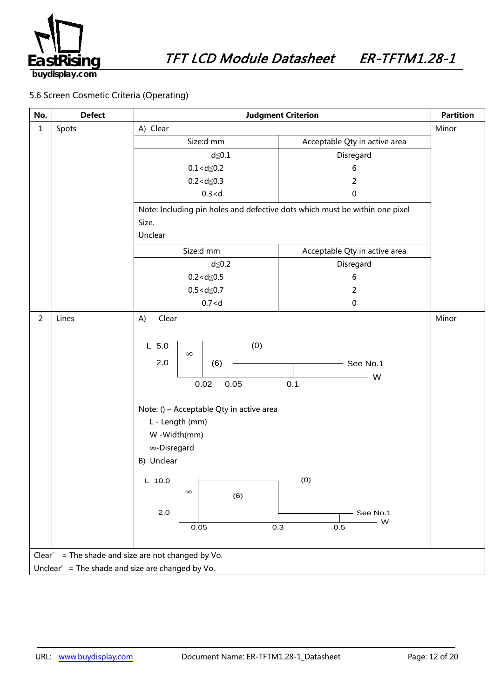

**buydisplay.com**

### 5.6 Screen Cosmetic Criteria (Operating)

| No.                                              | <b>Defect</b>                                         | <b>Judgment Criterion</b>                                                                                                                                                                                                           |                                                                    | <b>Partition</b> |
|--------------------------------------------------|-------------------------------------------------------|-------------------------------------------------------------------------------------------------------------------------------------------------------------------------------------------------------------------------------------|--------------------------------------------------------------------|------------------|
| $\mathbf{1}$                                     | Spots                                                 | A) Clear                                                                                                                                                                                                                            |                                                                    | Minor            |
|                                                  |                                                       | Size:d mm                                                                                                                                                                                                                           | Acceptable Qty in active area                                      |                  |
|                                                  |                                                       | $d \leq 0.1$                                                                                                                                                                                                                        | Disregard                                                          |                  |
|                                                  |                                                       | $0.1 < d \le 0.2$                                                                                                                                                                                                                   | 6                                                                  |                  |
|                                                  |                                                       | $0.2 < d \le 0.3$                                                                                                                                                                                                                   | $\overline{2}$                                                     |                  |
|                                                  |                                                       | 0.3 < d                                                                                                                                                                                                                             | $\pmb{0}$                                                          |                  |
|                                                  |                                                       | Note: Including pin holes and defective dots which must be within one pixel                                                                                                                                                         |                                                                    |                  |
|                                                  |                                                       | Size.                                                                                                                                                                                                                               |                                                                    |                  |
|                                                  |                                                       | Unclear                                                                                                                                                                                                                             |                                                                    |                  |
|                                                  |                                                       | Size:d mm                                                                                                                                                                                                                           | Acceptable Qty in active area                                      |                  |
|                                                  |                                                       | $d \leq 0.2$                                                                                                                                                                                                                        | Disregard                                                          |                  |
|                                                  |                                                       | $0.2 < d \le 0.5$                                                                                                                                                                                                                   | 6                                                                  |                  |
|                                                  |                                                       | $0.5 < d \le 0.7$                                                                                                                                                                                                                   | $\overline{2}$                                                     |                  |
|                                                  |                                                       | 0.7 < d                                                                                                                                                                                                                             | $\pmb{0}$                                                          |                  |
| $\overline{2}$                                   | Lines                                                 | Clear<br>A)                                                                                                                                                                                                                         |                                                                    | Minor            |
|                                                  |                                                       | (0)<br>$L$ 5.0<br>$\infty$<br>2.0<br>(6)<br>0.05<br>0.02<br>Note: () - Acceptable Qty in active area<br>L - Length (mm)<br>W-Width(mm)<br>∞-Disregard<br>B) Unclear<br>L 10.0 $\vert$ $\vert$<br>$\infty$<br>(6)<br>$2.0\,$<br>0.05 | $-$ See No.1<br>W<br>0.1<br>(0)<br>See No.1<br>$-$ W<br>0.3<br>0.5 |                  |
|                                                  |                                                       |                                                                                                                                                                                                                                     |                                                                    |                  |
|                                                  | = The shade and size are not changed by Vo.<br>Clear' |                                                                                                                                                                                                                                     |                                                                    |                  |
| Unclear' = The shade and size are changed by Vo. |                                                       |                                                                                                                                                                                                                                     |                                                                    |                  |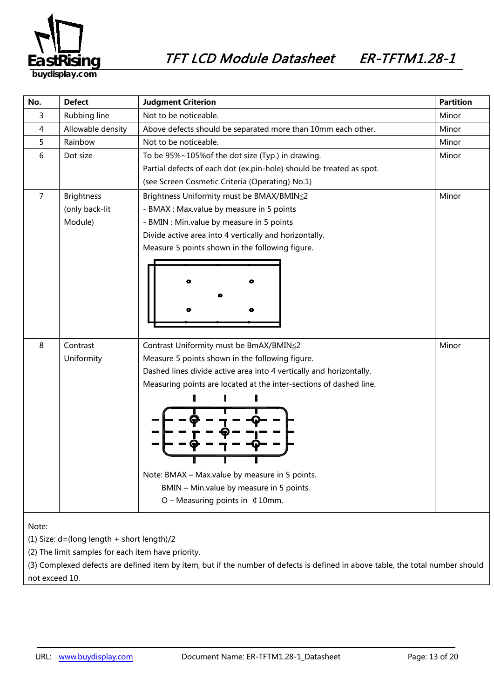

| No.            | <b>Defect</b>                                  | <b>Judgment Criterion</b>                                                                                                                                                                                                                                                                                                                                                                       | <b>Partition</b> |  |
|----------------|------------------------------------------------|-------------------------------------------------------------------------------------------------------------------------------------------------------------------------------------------------------------------------------------------------------------------------------------------------------------------------------------------------------------------------------------------------|------------------|--|
| 3              | Rubbing line                                   | Not to be noticeable.                                                                                                                                                                                                                                                                                                                                                                           | Minor            |  |
| 4              | Allowable density                              | Above defects should be separated more than 10mm each other.                                                                                                                                                                                                                                                                                                                                    | Minor            |  |
| 5              | Rainbow                                        | Not to be noticeable.                                                                                                                                                                                                                                                                                                                                                                           | Minor            |  |
| 6              | Dot size                                       | To be 95%~105% of the dot size (Typ.) in drawing.<br>Partial defects of each dot (ex.pin-hole) should be treated as spot.<br>(see Screen Cosmetic Criteria (Operating) No.1)                                                                                                                                                                                                                    |                  |  |
| $\overline{7}$ | <b>Brightness</b><br>(only back-lit<br>Module) | Brightness Uniformity must be BMAX/BMIN≦2<br>- BMAX : Max.value by measure in 5 points<br>- BMIN : Min.value by measure in 5 points<br>Divide active area into 4 vertically and horizontally.<br>Measure 5 points shown in the following figure.                                                                                                                                                |                  |  |
| 8              | Contrast<br>Uniformity                         | Contrast Uniformity must be BmAX/BMIN≤2<br>Measure 5 points shown in the following figure.<br>Dashed lines divide active area into 4 vertically and horizontally.<br>Measuring points are located at the inter-sections of dashed line.<br>Note: BMAX - Max.value by measure in 5 points.<br>BMIN - Min.value by measure in 5 points.<br>$O$ – Measuring points in $\text{\textsterling}$ 10mm. | Minor            |  |
| Note:          |                                                |                                                                                                                                                                                                                                                                                                                                                                                                 |                  |  |

(1) Size: d=(long length + short length)/2

(2) The limit samples for each item have priority.

(3) Complexed defects are defined item by item, but if the number of defects is defined in above table, the total number should not exceed 10.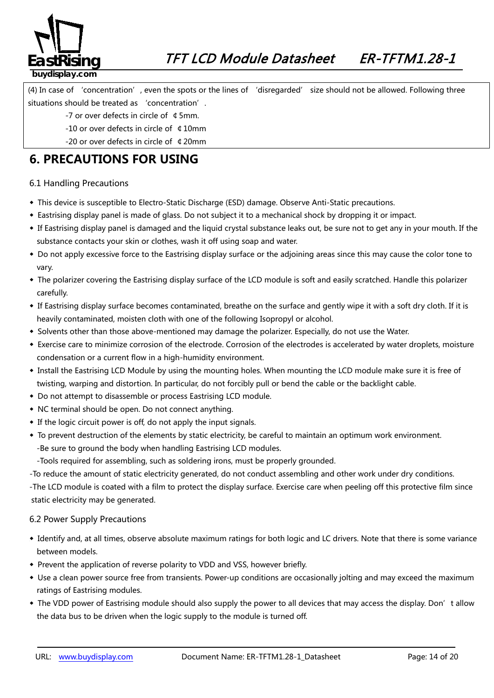

### **buydisplay.com**

(4) In case of 'concentration', even the spots or the lines of 'disregarded' size should not be allowed. Following three situations should be treated as 'concentration'.

- -7 or over defects in circle of ¢5mm.
- -10 or over defects in circle of ¢10mm
- -20 or over defects in circle of ¢20mm

### **6. PRECAUTIONS FOR USING**

### 6.1 Handling Precautions

- ◆ This device is susceptible to Electro-Static Discharge (ESD) damage. Observe Anti-Static precautions.
- ◆ Eastrising display panel is made of glass. Do not subject it to a mechanical shock by dropping it or impact.
- ◆ If Eastrising display panel is damaged and the liquid crystal substance leaks out, be sure not to get any in your mouth. If the substance contacts your skin or clothes, wash it off using soap and water.
- ◆ Do not apply excessive force to the Eastrising display surface or the adjoining areas since this may cause the color tone to vary.
- ◆ The polarizer covering the Eastrising display surface of the LCD module is soft and easily scratched. Handle this polarizer carefully.
- ◆ If Eastrising display surface becomes contaminated, breathe on the surface and gently wipe it with a soft dry cloth. If it is heavily contaminated, moisten cloth with one of the following Isopropyl or alcohol.
- ◆ Solvents other than those above-mentioned may damage the polarizer. Especially, do not use the Water.
- ◆ Exercise care to minimize corrosion of the electrode. Corrosion of the electrodes is accelerated by water droplets, moisture condensation or a current flow in a high-humidity environment.
- ◆ Install the Eastrising LCD Module by using the mounting holes. When mounting the LCD module make sure it is free of twisting, warping and distortion. In particular, do not forcibly pull or bend the cable or the backlight cable.
- ◆ Do not attempt to disassemble or process Eastrising LCD module.
- ◆ NC terminal should be open. Do not connect anything.
- ◆ If the logic circuit power is off, do not apply the input signals.
- ◆ To prevent destruction of the elements by static electricity, be careful to maintain an optimum work environment. -Be sure to ground the body when handling Eastrising LCD modules.

-Tools required for assembling, such as soldering irons, must be properly grounded.

-To reduce the amount of static electricity generated, do not conduct assembling and other work under dry conditions.

-The LCD module is coated with a film to protect the display surface. Exercise care when peeling off this protective film since static electricity may be generated.

### 6.2 Power Supply Precautions

- *38B5246139B*◆ Identify and, at all times, observe absolute maximum ratings for both logic and LC drivers. Note that there is some variance between models.
- ◆ Prevent the application of reverse polarity to VDD and VSS, however briefly.
- ◆ Use a clean power source free from transients. Power-up conditions are occasionally jolting and may exceed the maximum ratings of Eastrising modules.
- ◆ The VDD power of Eastrising module should also supply the power to all devices that may access the display. Don't allow the data bus to be driven when the logic supply to the module is turned off.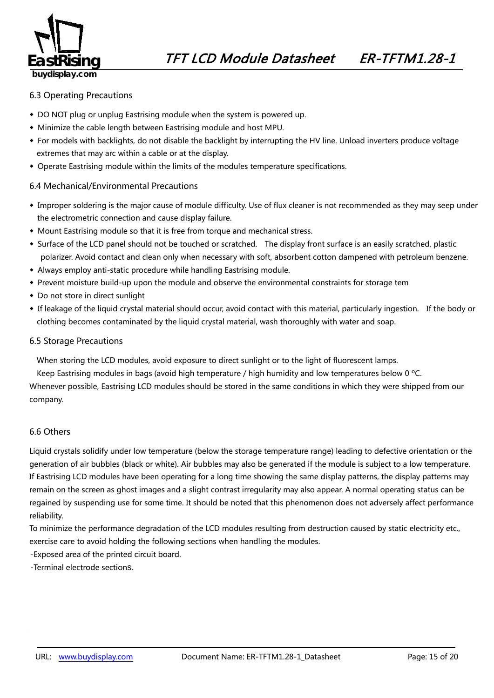

### 6.3 Operating Precautions

- ◆ DO NOT plug or unplug Eastrising module when the system is powered up.
- ◆ Minimize the cable length between Eastrising module and host MPU.
- ◆ For models with backlights, do not disable the backlight by interrupting the HV line. Unload inverters produce voltage extremes that may arc within a cable or at the display.
- ◆ Operate Eastrising module within the limits of the modules temperature specifications.

#### 6.4 Mechanical/Environmental Precautions

- ◆ Improper soldering is the major cause of module difficulty. Use of flux cleaner is not recommended as they may seep under the electrometric connection and cause display failure.
- ◆ Mount Eastrising module so that it is free from torque and mechanical stress.
- ◆ Surface of the LCD panel should not be touched or scratched. The display front surface is an easily scratched, plastic polarizer. Avoid contact and clean only when necessary with soft, absorbent cotton dampened with petroleum benzene.
- ◆ Always employ anti-static procedure while handling Eastrising module.
- ◆ Prevent moisture build-up upon the module and observe the environmental constraints for storage tem
- ◆ Do not store in direct sunlight
- ◆ If leakage of the liquid crystal material should occur, avoid contact with this material, particularly ingestion. If the body or clothing becomes contaminated by the liquid crystal material, wash thoroughly with water and soap.

#### 6.5 Storage Precautions

When storing the LCD modules, avoid exposure to direct sunlight or to the light of fluorescent lamps.

Keep Eastrising modules in bags (avoid high temperature / high humidity and low temperatures below 0 ºC.

Whenever possible, Eastrising LCD modules should be stored in the same conditions in which they were shipped from our company.

### 6.6 Others

Liquid crystals solidify under low temperature (below the storage temperature range) leading to defective orientation or the generation of air bubbles (black or white). Air bubbles may also be generated if the module is subject to a low temperature. If Eastrising LCD modules have been operating for a long time showing the same display patterns, the display patterns may remain on the screen as ghost images and a slight contrast irregularity may also appear. A normal operating status can be regained by suspending use for some time. It should be noted that this phenomenon does not adversely affect performance reliability.

To minimize the performance degradation of the LCD modules resulting from destruction caused by static electricity etc., exercise care to avoid holding the following sections when handling the modules.

-Exposed area of the printed circuit board.

-Terminal electrode sections.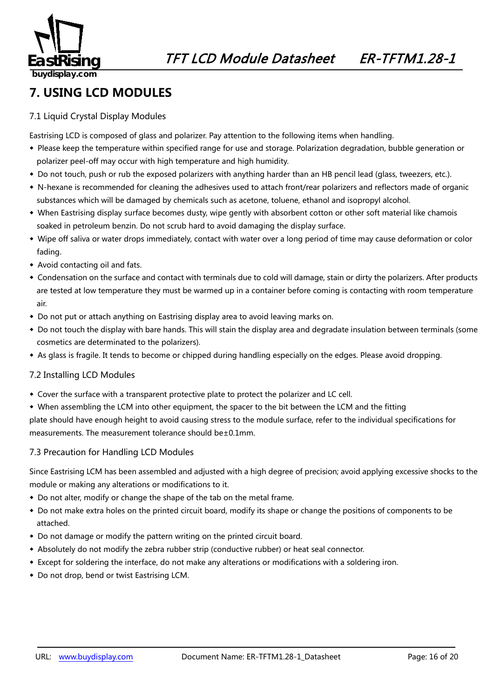

### **7. USING LCD MODULES**

### 7.1 Liquid Crystal Display Modules

Eastrising LCD is composed of glass and polarizer. Pay attention to the following items when handling.

- ◆ Please keep the temperature within specified range for use and storage. Polarization degradation, bubble generation or polarizer peel-off may occur with high temperature and high humidity.
- ◆ Do not touch, push or rub the exposed polarizers with anything harder than an HB pencil lead (glass, tweezers, etc.).
- ◆ N-hexane is recommended for cleaning the adhesives used to attach front/rear polarizers and reflectors made of organic substances which will be damaged by chemicals such as acetone, toluene, ethanol and isopropyl alcohol.
- ◆ When Eastrising display surface becomes dusty, wipe gently with absorbent cotton or other soft material like chamois soaked in petroleum benzin. Do not scrub hard to avoid damaging the display surface.
- ◆ Wipe off saliva or water drops immediately, contact with water over a long period of time may cause deformation or color fading.
- ◆ Avoid contacting oil and fats.
- ◆ Condensation on the surface and contact with terminals due to cold will damage, stain or dirty the polarizers. After products are tested at low temperature they must be warmed up in a container before coming is contacting with room temperature air.
- ◆ Do not put or attach anything on Eastrising display area to avoid leaving marks on.
- ◆ Do not touch the display with bare hands. This will stain the display area and degradate insulation between terminals (some cosmetics are determinated to the polarizers).
- ◆ As glass is fragile. It tends to become or chipped during handling especially on the edges. Please avoid dropping.

### 7.2 Installing LCD Modules

- ◆ Cover the surface with a transparent protective plate to protect the polarizer and LC cell.
- ◆ When assembling the LCM into other equipment, the spacer to the bit between the LCM and the fitting

plate should have enough height to avoid causing stress to the module surface, refer to the individual specifications for measurements. The measurement tolerance should be±0.1mm.

### 7.3 Precaution for Handling LCD Modules

Since Eastrising LCM has been assembled and adjusted with a high degree of precision; avoid applying excessive shocks to the module or making any alterations or modifications to it.

- ◆ Do not alter, modify or change the shape of the tab on the metal frame.
- ◆ Do not make extra holes on the printed circuit board, modify its shape or change the positions of components to be attached.
- ◆ Do not damage or modify the pattern writing on the printed circuit board.
- ◆ Absolutely do not modify the zebra rubber strip (conductive rubber) or heat seal connector.
- ◆ Except for soldering the interface, do not make any alterations or modifications with a soldering iron.
- ◆ Do not drop, bend or twist Eastrising LCM.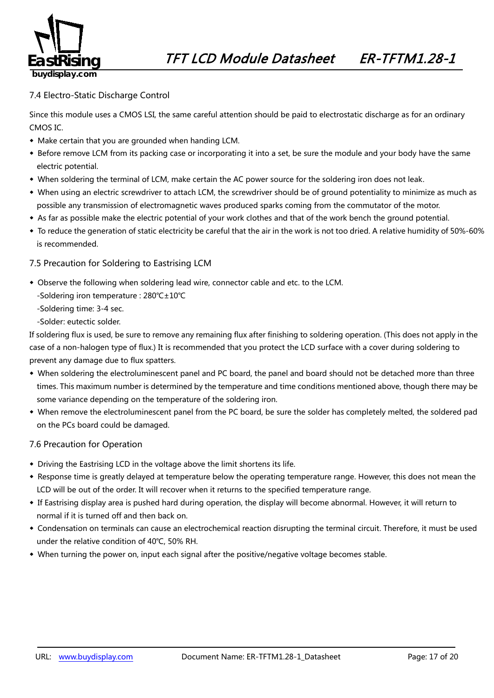

### 7.4 Electro-Static Discharge Control

Since this module uses a CMOS LSI, the same careful attention should be paid to electrostatic discharge as for an ordinary CMOS IC.

- ◆ Make certain that you are grounded when handing LCM.
- ◆ Before remove LCM from its packing case or incorporating it into a set, be sure the module and your body have the same electric potential.
- ◆ When soldering the terminal of LCM, make certain the AC power source for the soldering iron does not leak.
- ◆ When using an electric screwdriver to attach LCM, the screwdriver should be of ground potentiality to minimize as much as possible any transmission of electromagnetic waves produced sparks coming from the commutator of the motor.
- ◆ As far as possible make the electric potential of your work clothes and that of the work bench the ground potential.
- ◆ To reduce the generation of static electricity be careful that the air in the work is not too dried. A relative humidity of 50%-60% is recommended.

### 7.5 Precaution for Soldering to Eastrising LCM

- ◆ Observe the following when soldering lead wire, connector cable and etc. to the LCM.
	- -Soldering iron temperature : 280℃±10℃
	- -Soldering time: 3-4 sec.
	- -Solder: eutectic solder.

If soldering flux is used, be sure to remove any remaining flux after finishing to soldering operation. (This does not apply in the case of a non-halogen type of flux.) It is recommended that you protect the LCD surface with a cover during soldering to prevent any damage due to flux spatters.

- ◆ When soldering the electroluminescent panel and PC board, the panel and board should not be detached more than three times. This maximum number is determined by the temperature and time conditions mentioned above, though there may be some variance depending on the temperature of the soldering iron.
- ◆ When remove the electroluminescent panel from the PC board, be sure the solder has completely melted, the soldered pad on the PCs board could be damaged.

#### 7.6 Precaution for Operation

- ◆ Driving the Eastrising LCD in the voltage above the limit shortens its life.
- ◆ Response time is greatly delayed at temperature below the operating temperature range. However, this does not mean the LCD will be out of the order. It will recover when it returns to the specified temperature range.
- ◆ If Eastrising display area is pushed hard during operation, the display will become abnormal. However, it will return to normal if it is turned off and then back on.
- ◆ Condensation on terminals can cause an electrochemical reaction disrupting the terminal circuit. Therefore, it must be used under the relative condition of 40℃, 50% RH.
- ◆ When turning the power on, input each signal after the positive/negative voltage becomes stable.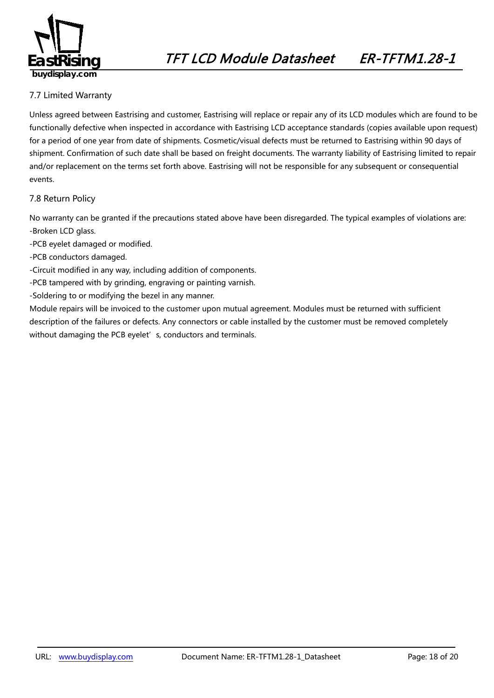

### 7.7 Limited Warranty

*49B163*Unless agreed between Eastrising and customer, Eastrising will replace or repair any of its LCD modules which are found to be functionally defective when inspected in accordance with Eastrising LCD acceptance standards (copies available upon request) for a period of one year from date of shipments. Cosmetic/visual defects must be returned to Eastrising within 90 days of shipment. Confirmation of such date shall be based on freight documents. The warranty liability of Eastrising limited to repair and/or replacement on the terms set forth above. Eastrising will not be responsible for any subsequent or consequential events.

### 7.8 Return Policy

*2B4196*No warranty can be granted if the precautions stated above have been disregarded. The typical examples of violations are: -Broken LCD glass.

- -PCB eyelet damaged or modified.
- -PCB conductors damaged.
- -Circuit modified in any way, including addition of components.
- -PCB tampered with by grinding, engraving or painting varnish.
- -Soldering to or modifying the bezel in any manner.

Module repairs will be invoiced to the customer upon mutual agreement. Modules must be returned with sufficient description of the failures or defects. Any connectors or cable installed by the customer must be removed completely without damaging the PCB eyelet's, conductors and terminals.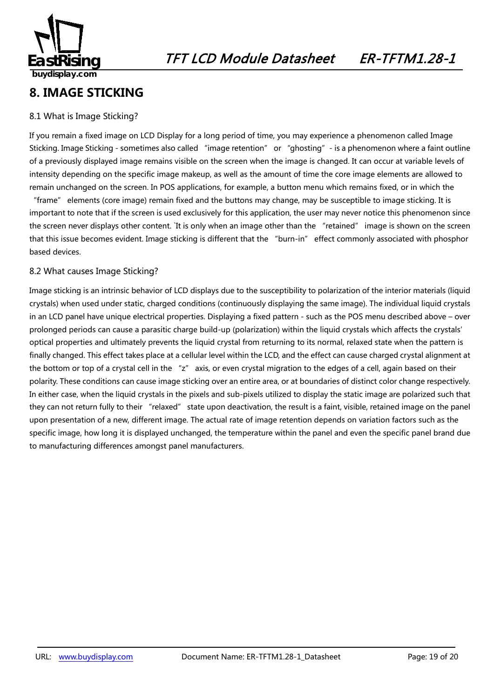

### **8. IMAGE STICKING**

### 8.1 What is Image Sticking?

If you remain a fixed image on LCD Display for a long period of time, you may experience a phenomenon called Image Sticking. Image Sticking - sometimes also called "image retention" or "ghosting" - is a phenomenon where a faint outline of a previously displayed image remains visible on the screen when the image is changed. It can occur at variable levels of intensity depending on the specific image makeup, as well as the amount of time the core image elements are allowed to remain unchanged on the screen. In POS applications, for example, a button menu which remains fixed, or in which the

"frame" elements (core image) remain fixed and the buttons may change, may be susceptible to image sticking. It is important to note that if the screen is used exclusively for this application, the user may never notice this phenomenon since the screen never displays other content. `It is only when an image other than the "retained" image is shown on the screen that this issue becomes evident. Image sticking is different that the "burn-in" effect commonly associated with phosphor based devices.

### 8.2 What causes Image Sticking?

Image sticking is an intrinsic behavior of LCD displays due to the susceptibility to polarization of the interior materials (liquid crystals) when used under static, charged conditions (continuously displaying the same image). The individual liquid crystals in an LCD panel have unique electrical properties. Displaying a fixed pattern - such as the POS menu described above – over prolonged periods can cause a parasitic charge build-up (polarization) within the liquid crystals which affects the crystals' optical properties and ultimately prevents the liquid crystal from returning to its normal, relaxed state when the pattern is finally changed. This effect takes place at a cellular level within the LCD, and the effect can cause charged crystal alignment at the bottom or top of a crystal cell in the "z" axis, or even crystal migration to the edges of a cell, again based on their polarity. These conditions can cause image sticking over an entire area, or at boundaries of distinct color change respectively. In either case, when the liquid crystals in the pixels and sub-pixels utilized to display the static image are polarized such that they can not return fully to their "relaxed" state upon deactivation, the result is a faint, visible, retained image on the panel upon presentation of a new, different image. The actual rate of image retention depends on variation factors such as the specific image, how long it is displayed unchanged, the temperature within the panel and even the specific panel brand due to manufacturing differences amongst panel manufacturers.